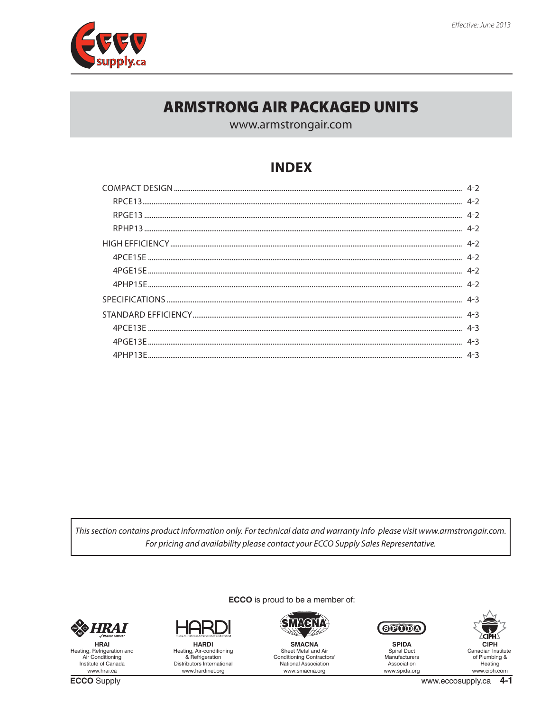

# **ARMSTRONG AIR PACKAGED UNITS**

www.armstrongair.com

# **INDEX**

| 4-2 في المستقدم المستقدم المستقدم المستقدم المستقدم المستقدم المستقدم المستقدم المستقدم المستقدم المستقدم المستقدم المستقدم المستقدم المستقدم المستقدم المستقدم المستقدم المستقدم المستقدم المستقدم المستقدم المستقدم المستقدم |
|--------------------------------------------------------------------------------------------------------------------------------------------------------------------------------------------------------------------------------|
|                                                                                                                                                                                                                                |
|                                                                                                                                                                                                                                |
|                                                                                                                                                                                                                                |
|                                                                                                                                                                                                                                |
|                                                                                                                                                                                                                                |
|                                                                                                                                                                                                                                |
|                                                                                                                                                                                                                                |
|                                                                                                                                                                                                                                |

This section contains product information only. For technical data and warranty info please visit www.armstrongair.com. For pricing and availability please contact your ECCO Supply Sales Representative.

ECCO is proud to be a member of:



**HRAI** Heating, Refrigeration and<br>Air Conditioning Institute of Canada www.hrai.ca

**ECCO** Supply



**HARDI** Heating, Air-conditioning<br>& Refrigeration Distributors International www.hardinet.org



**SMACNA** Sheet Metal and Air<br>Conditioning Contractors' National Association www.smacna.org



**SPIDA** Spiral Duct<br>Manufacturers Association www.spida.org

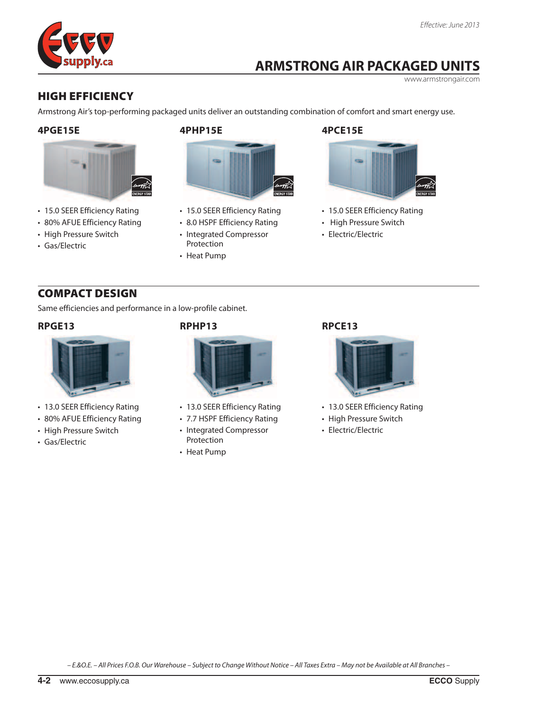# **ARMSTRONG AIR PACKAGED UNITS**

www.armstrongair.com

## <span id="page-1-0"></span>high efficiency

Armstrong Air's top-performing packaged units deliver an outstanding combination of comfort and smart energy use.

#### **4PGE15E**



- 15.0 SEER Efficiency Rating
- 80% AFUE Efficiency Rating
- High Pressure Switch
- Gas/Electric

#### **4PHP15E**



- 15.0 SEER Efficiency Rating
- 8.0 HSPF Efficiency Rating
- Integrated Compressor Protection
- Heat Pump

#### **4PCE15E**



- 15.0 SEER Efficiency Rating
- High Pressure Switch
- Electric/Electric

## Compact Design

Same efficiencies and performance in a low-profile cabinet.

#### **RPGE13**



- 13.0 SEER Efficiency Rating
- 80% AFUE Efficiency Rating
- High Pressure Switch
- Gas/Electric

### **RPHP13**



- 13.0 SEER Efficiency Rating
- 7.7 HSPF Efficiency Rating
- Integrated Compressor Protection
- Heat Pump

#### **RPCE13**



- 13.0 SEER Efficiency Rating
- High Pressure Switch
- Electric/Electric

*– E.&O.E. – All Prices F.O.B. Our Warehouse – Subject to Change Without Notice – All Taxes Extra – May not be Available at All Branches –*